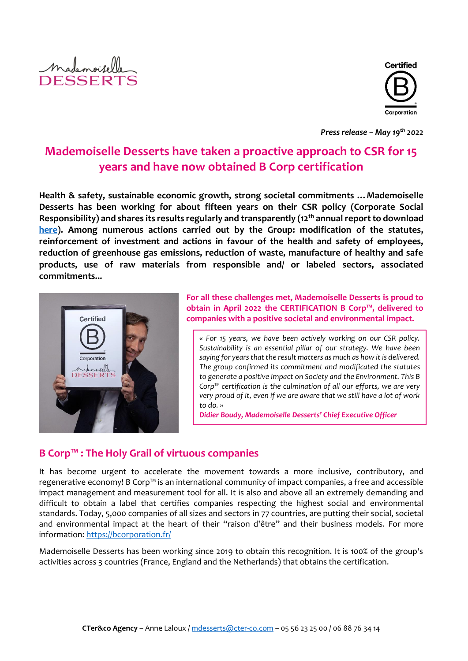



*Press release – May 19th 2022*

# **Mademoiselle Desserts have taken a proactive approach to CSR for 15 years and have now obtained B Corp certification**

**Health & safety, sustainable economic growth, strong societal commitments …Mademoiselle Desserts has been working for about fifteen years on their CSR policy (Corporate Social Responsibility) and shares its results regularly and transparently (12th annualreport to download [here\)](https://www.mademoiselledesserts.com/uk/homepage-uk.html). Among numerous actions carried out by the Group: modification of the statutes, reinforcement of investment and actions in favour of the health and safety of employees, reduction of greenhouse gas emissions, reduction of waste, manufacture of healthy and safe products, use of raw materials from responsible and/ or labeled sectors, associated commitments...**



**For all these challenges met, Mademoiselle Desserts is proud to obtain in April 2022 the CERTIFICATION B Corp™, delivered to companies with a positive societal and environmental impact.**

*« For 15 years, we have been actively working on our CSR policy. Sustainability is an essential pillar of our strategy. We have been saying for years that the result matters as much as how it is delivered. The group confirmed its commitment and modificated the statutes to generate a positive impact on Society and the Environment. This B Corp™ certification is the culmination of all our efforts, we are very very proud of it, even if we are aware that we still have a lot of work to do. »*

*Didier Boudy, Mademoiselle Desserts' Chief Executive Officer*

#### **B Corp™ : The Holy Grail of virtuous companies**

It has become urgent to accelerate the movement towards a more inclusive, contributory, and regenerative economy! B Corp™ is an international community of impact companies, a free and accessible impact management and measurement tool for all. It is also and above all an extremely demanding and difficult to obtain a label that certifies companies respecting the highest social and environmental standards. Today, 5,000 companies of all sizes and sectors in 77 countries, are putting their social, societal and environmental impact at the heart of their "raison d'être" and their business models. For more information:<https://bcorporation.fr/>

Mademoiselle Desserts has been working since 2019 to obtain this recognition. It is 100% of the group's activities across 3 countries (France, England and the Netherlands) that obtains the certification.